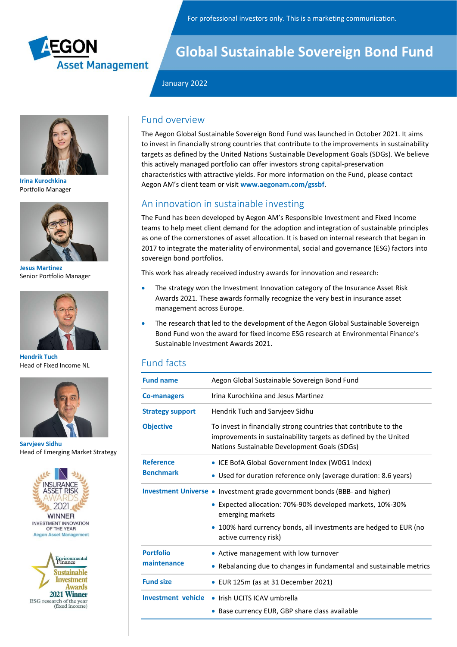



**Irina Kurochkina** Portfolio Manager



**Jesus Martinez** Senior Portfolio Manager



**Hendrik Tuch** Head of Fixed Income NL



**Sarvjeev Sidhu** Head of Emerging Market Strategy





# **Global Sustainable Sovereign Bond Fund**

### January 2022

## Fund overview

The Aegon Global Sustainable Sovereign Bond Fund was launched in October 2021. It aims to invest in financially strong countries that contribute to the improvements in sustainability targets as defined by the United Nations Sustainable Development Goals (SDGs). We believe this actively managed portfolio can offer investors strong capital-preservation characteristics with attractive yields. For more information on the Fund, please contact Aegon AM's client team or visit **www.aegonam.com/gssbf**.

## An innovation in sustainable investing

The Fund has been developed by Aegon AM's Responsible Investment and Fixed Income teams to help meet client demand for the adoption and integration of sustainable principles as one of the cornerstones of asset allocation. It is based on internal research that began in 2017 to integrate the materiality of environmental, social and governance (ESG) factors into sovereign bond portfolios.

This work has already received industry awards for innovation and research:

- The strategy won the Investment Innovation category of the Insurance Asset Risk Awards 2021. These awards formally recognize the very best in insurance asset management across Europe.
- The research that led to the development of the Aegon Global Sustainable Sovereign Bond Fund won the award for fixed income ESG research at Environmental Finance's Sustainable Investment Awards 2021.

## Fund facts

| <b>Fund name</b>          | Aegon Global Sustainable Sovereign Bond Fund                                                                                                                                        |  |  |
|---------------------------|-------------------------------------------------------------------------------------------------------------------------------------------------------------------------------------|--|--|
| <b>Co-managers</b>        | Irina Kurochkina and Jesus Martinez                                                                                                                                                 |  |  |
| <b>Strategy support</b>   | Hendrik Tuch and Sarvjeev Sidhu                                                                                                                                                     |  |  |
| <b>Objective</b>          | To invest in financially strong countries that contribute to the<br>improvements in sustainability targets as defined by the United<br>Nations Sustainable Development Goals (SDGs) |  |  |
| <b>Reference</b>          | • ICE BofA Global Government Index (W0G1 Index)                                                                                                                                     |  |  |
| <b>Benchmark</b>          | Used for duration reference only (average duration: 8.6 years)                                                                                                                      |  |  |
|                           | Investment Universe • Investment grade government bonds (BBB- and higher)                                                                                                           |  |  |
|                           | Expected allocation: 70%-90% developed markets, 10%-30%<br>emerging markets                                                                                                         |  |  |
|                           | 100% hard currency bonds, all investments are hedged to EUR (no<br>active currency risk)                                                                                            |  |  |
| <b>Portfolio</b>          | • Active management with low turnover                                                                                                                                               |  |  |
| maintenance               | Rebalancing due to changes in fundamental and sustainable metrics                                                                                                                   |  |  |
| <b>Fund size</b>          | EUR 125m (as at 31 December 2021)                                                                                                                                                   |  |  |
| <b>Investment vehicle</b> | • Irish UCITS ICAV umbrella                                                                                                                                                         |  |  |
|                           | Base currency EUR, GBP share class available                                                                                                                                        |  |  |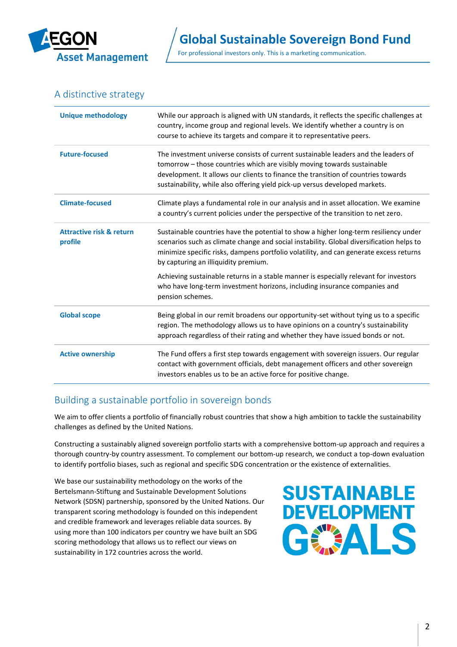

## A distinctive strategy

| <b>Unique methodology</b>                      | While our approach is aligned with UN standards, it reflects the specific challenges at<br>country, income group and regional levels. We identify whether a country is on<br>course to achieve its targets and compare it to representative peers.                                                                                |  |  |
|------------------------------------------------|-----------------------------------------------------------------------------------------------------------------------------------------------------------------------------------------------------------------------------------------------------------------------------------------------------------------------------------|--|--|
| <b>Future-focused</b>                          | The investment universe consists of current sustainable leaders and the leaders of<br>tomorrow - those countries which are visibly moving towards sustainable<br>development. It allows our clients to finance the transition of countries towards<br>sustainability, while also offering yield pick-up versus developed markets. |  |  |
| <b>Climate-focused</b>                         | Climate plays a fundamental role in our analysis and in asset allocation. We examine<br>a country's current policies under the perspective of the transition to net zero.                                                                                                                                                         |  |  |
| <b>Attractive risk &amp; return</b><br>profile | Sustainable countries have the potential to show a higher long-term resiliency under<br>scenarios such as climate change and social instability. Global diversification helps to<br>minimize specific risks, dampens portfolio volatility, and can generate excess returns<br>by capturing an illiquidity premium.                |  |  |
|                                                | Achieving sustainable returns in a stable manner is especially relevant for investors<br>who have long-term investment horizons, including insurance companies and<br>pension schemes.                                                                                                                                            |  |  |
| <b>Global scope</b>                            | Being global in our remit broadens our opportunity-set without tying us to a specific<br>region. The methodology allows us to have opinions on a country's sustainability<br>approach regardless of their rating and whether they have issued bonds or not.                                                                       |  |  |
| <b>Active ownership</b>                        | The Fund offers a first step towards engagement with sovereign issuers. Our regular<br>contact with government officials, debt management officers and other sovereign<br>investors enables us to be an active force for positive change.                                                                                         |  |  |

## Building a sustainable portfolio in sovereign bonds

We aim to offer clients a portfolio of financially robust countries that show a high ambition to tackle the sustainability challenges as defined by the United Nations.

Constructing a sustainably aligned sovereign portfolio starts with a comprehensive bottom-up approach and requires a thorough country-by country assessment. To complement our bottom-up research, we conduct a top-down evaluation to identify portfolio biases, such as regional and specific SDG concentration or the existence of externalities.

We base our sustainability methodology on the works of the Bertelsmann-Stiftung and Sustainable Development Solutions Network (SDSN) partnership, sponsored by the United Nations. Our transparent scoring methodology is founded on this independent and credible framework and leverages reliable data sources. By using more than 100 indicators per country we have built an SDG scoring methodology that allows us to reflect our views on sustainability in 172 countries across the world.

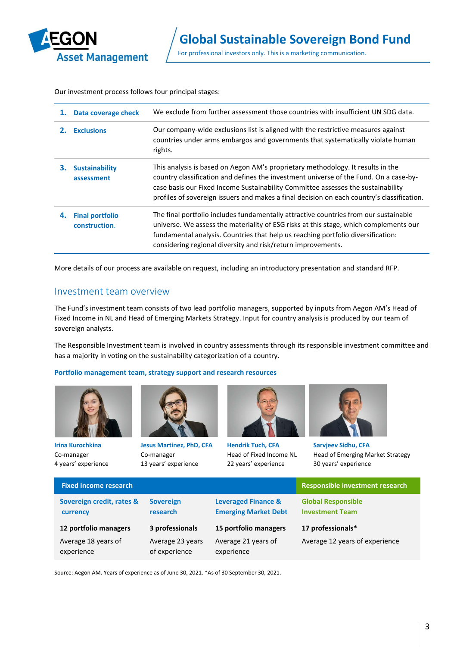

Our investment process follows four principal stages:

| 1. | Data coverage check                     | We exclude from further assessment those countries with insufficient UN SDG data.                                                                                                                                                                                                                                                                          |  |
|----|-----------------------------------------|------------------------------------------------------------------------------------------------------------------------------------------------------------------------------------------------------------------------------------------------------------------------------------------------------------------------------------------------------------|--|
|    | <b>Exclusions</b>                       | Our company-wide exclusions list is aligned with the restrictive measures against<br>countries under arms embargos and governments that systematically violate human<br>rights.                                                                                                                                                                            |  |
| З. | <b>Sustainability</b><br>assessment     | This analysis is based on Aegon AM's proprietary methodology. It results in the<br>country classification and defines the investment universe of the Fund. On a case-by-<br>case basis our Fixed Income Sustainability Committee assesses the sustainability<br>profiles of sovereign issuers and makes a final decision on each country's classification. |  |
| 4. | <b>Final portfolio</b><br>construction. | The final portfolio includes fundamentally attractive countries from our sustainable<br>universe. We assess the materiality of ESG risks at this stage, which complements our<br>fundamental analysis. Countries that help us reaching portfolio diversification:<br>considering regional diversity and risk/return improvements.                          |  |

More details of our process are available on request, including an introductory presentation and standard RFP.

## Investment team overview

The Fund's investment team consists of two lead portfolio managers, supported by inputs from Aegon AM's Head of Fixed Income in NL and Head of Emerging Markets Strategy. Input for country analysis is produced by our team of sovereign analysts.

The Responsible Investment team is involved in country assessments through its responsible investment committee and has a majority in voting on the sustainability categorization of a country.

#### **Portfolio management team, strategy support and research resources**



**Irina Kurochkina** Co-manager 4 years' experience



**Jesus Martinez, PhD, CFA** Co-manager 13 years' experience



**Hendrik Tuch, CFA** Head of Fixed Income NL 22 years' experience



**Sarvjeev Sidhu, CFA** Head of Emerging Market Strategy 30 years' experience

| <b>Fixed income research</b>          |                                   |                                                               | <b>Responsible investment research</b>              |
|---------------------------------------|-----------------------------------|---------------------------------------------------------------|-----------------------------------------------------|
| Sovereign credit, rates &<br>currency | <b>Sovereign</b><br>research      | <b>Leveraged Finance &amp;</b><br><b>Emerging Market Debt</b> | <b>Global Responsible</b><br><b>Investment Team</b> |
| 12 portfolio managers                 | 3 professionals                   | 15 portfolio managers                                         | 17 professionals*                                   |
| Average 18 years of<br>experience     | Average 23 years<br>of experience | Average 21 years of<br>experience                             | Average 12 years of experience                      |

Source: Aegon AM. Years of experience as of June 30, 2021. \*As of 30 September 30, 2021.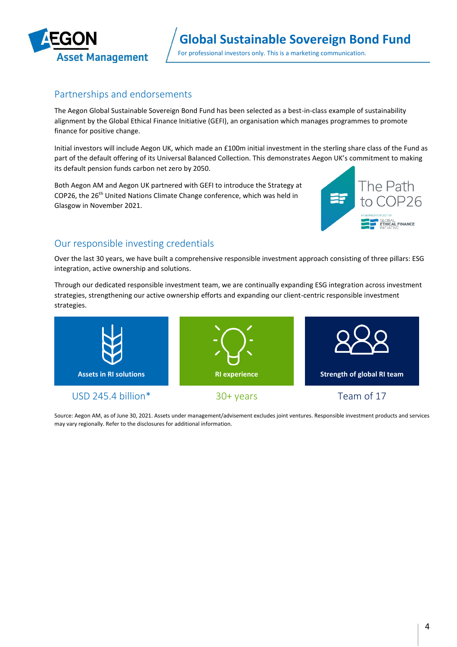

## Partnerships and endorsements

The Aegon Global Sustainable Sovereign Bond Fund has been selected as a best-in-class example of sustainability alignment by the Global Ethical Finance Initiative (GEFI), an organisation which manages programmes to promote finance for positive change.

Initial investors will include Aegon UK, which made an £100m initial investment in the sterling share class of the Fund as part of the default offering of its Universal Balanced Collection. This demonstrates Aegon UK's commitment to making its default pension funds carbon net zero by 2050.

Both Aegon AM and Aegon UK partnered with GEFI to introduce the Strategy at COP26, the 26<sup>th</sup> United Nations Climate Change conference, which was held in Glasgow in November 2021.



# Our responsible investing credentials

Over the last 30 years, we have built a comprehensive responsible investment approach consisting of three pillars: ESG integration, active ownership and solutions.

Through our dedicated responsible investment team, we are continually expanding ESG integration across investment strategies, strengthening our active ownership efforts and expanding our client-centric responsible investment strategies.



Source: Aegon AM, as of June 30, 2021. Assets under management/advisement excludes joint ventures. Responsible investment products and services may vary regionally. Refer to the disclosures for additional information.